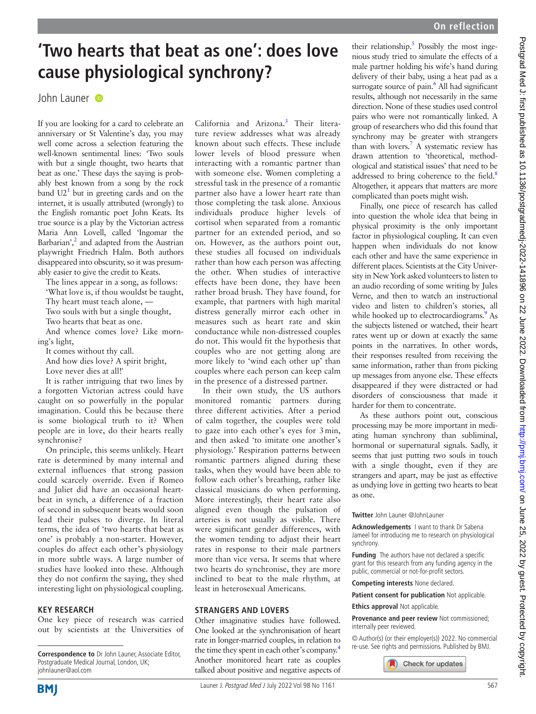# **'Two hearts that beat as one': does love cause physiological synchrony?**

## John Launer

If you are looking for a card to celebrate an anniversary or St Valentine's day, you may well come across a selection featuring the well-known sentimental lines: 'Two souls with but a single thought, two hearts that beat as one.' These days the saying is probably best known from a song by the rock band  $U2<sup>1</sup>$  but in greeting cards and on the internet, it is usually attributed (wrongly) to the English romantic poet John Keats. Its true source is a play by the Victorian actress Maria Ann Lovell, called 'Ingomar the Barbarian', $\frac{2}{3}$  and adapted from the Austrian playwright Friedrich Halm. Both authors disappeared into obscurity, so it was presumably easier to give the credit to Keats.

The lines appear in a song, as follows: 'What love is, if thou wouldst be taught, Thy heart must teach alone, —

Two souls with but a single thought,

Two hearts that beat as one.

And whence comes love? Like morning's light,

It comes without thy call.

And how dies love? A spirit bright,

Love never dies at all!'

It is rather intriguing that two lines by a forgotten Victorian actress could have caught on so powerfully in the popular imagination. Could this be because there is some biological truth to it? When people are in love, do their hearts really synchronise?

On principle, this seems unlikely. Heart rate is determined by many internal and external influences that strong passion could scarcely override. Even if Romeo and Juliet did have an occasional heartbeat in synch, a difference of a fraction of second in subsequent beats would soon lead their pulses to diverge. In literal terms, the idea of 'two hearts that beat as one' is probably a non-starter. However, couples do affect each other's physiology in more subtle ways. A large number of studies have looked into these. Although they do not confirm the saying, they shed interesting light on physiological coupling.

### **Key research**

One key piece of research was carried out by scientists at the Universities of

California and Arizona.<sup>[3](#page-1-2)</sup> Their literature review addresses what was already known about such effects. These include lower levels of blood pressure when interacting with a romantic partner than with someone else. Women completing a stressful task in the presence of a romantic partner also have a lower heart rate than those completing the task alone. Anxious individuals produce higher levels of cortisol when separated from a romantic partner for an extended period, and so on. However, as the authors point out, these studies all focused on individuals rather than how each person was affecting the other. When studies of interactive effects have been done, they have been rather broad brush. They have found, for example, that partners with high marital distress generally mirror each other in measures such as heart rate and skin conductance while non-distressed couples do not. This would fit the hypothesis that couples who are not getting along are more likely to 'wind each other up' than couples where each person can keep calm in the presence of a distressed partner.

In their own study, the US authors monitored romantic partners during three different activities. After a period of calm together, the couples were told to gaze into each other's eyes for 3min, and then asked 'to imitate one another's physiology.' Respiration patterns between romantic partners aligned during these tasks, when they would have been able to follow each other's breathing, rather like classical musicians do when performing. More interestingly, their heart rate also aligned even though the pulsation of arteries is not usually as visible. There were significant gender differences, with the women tending to adjust their heart rates in response to their male partners more than vice versa. It seems that where two hearts do synchronise, they are more inclined to beat to the male rhythm, at least in heterosexual Americans.

## **Strangers and lovers**

Other imaginative studies have followed. One looked at the synchronisation of heart rate in longer-married couples, in relation to the time they spent in each other's company.<sup>4</sup> Another monitored heart rate as couples talked about positive and negative aspects of

their relationship. $5$  Possibly the most ingenious study tried to simulate the effects of a male partner holding his wife's hand during delivery of their baby, using a heat pad as a surrogate source of pain.<sup>[6](#page-1-5)</sup> All had significant results, although not necessarily in the same direction. None of these studies used control pairs who were not romantically linked. A group of researchers who did this found that synchrony may be greater with strangers than with lovers.<sup>7</sup> A systematic review has drawn attention to 'theoretical, methodological and statistical issues' that need to be addressed to bring coherence to the field.<sup>8</sup> Altogether, it appears that matters are more complicated than poets might wish.

Finally, one piece of research has called into question the whole idea that being in physical proximity is the only important factor in physiological coupling. It can even happen when individuals do not know each other and have the same experience in different places. Scientists at the City University in New York asked volunteers to listen to an audio recording of some writing by Jules Verne, and then to watch an instructional video and listen to children's stories, all while hooked up to electrocardiograms.<sup>9</sup> As the subjects listened or watched, their heart rates went up or down at exactly the same points in the narratives. In other words, their responses resulted from receiving the same information, rather than from picking up messages from anyone else. These effects disappeared if they were distracted or had disorders of consciousness that made it harder for them to concentrate.

As these authors point out, conscious processing may be more important in mediating human synchrony than subliminal, hormonal or supernatural signals. Sadly, it seems that just putting two souls in touch with a single thought, even if they are strangers and apart, may be just as effective as undying love in getting two hearts to beat as one.

### **Twitter** John Launer [@JohnLauner](https://twitter.com/JohnLauner)

**Acknowledgements** I want to thank Dr Sabena Jameel for introducing me to research on physiological synchrony.

**Funding** The authors have not declared a specific grant for this research from any funding agency in the public, commercial or not-for-profit sectors.

**Competing interests** None declared.

**Patient consent for publication** Not applicable.

#### **Ethics approval Not applicable.**

**Provenance and peer review** Not commissioned; internally peer reviewed.

© Author(s) (or their employer(s)) 2022. No commercial re-use. See rights and permissions. Published by BMJ.



**Correspondence to** Dr John Launer, Associate Editor, Postgraduate Medical Journal, London, UK; johnlauner@aol.com